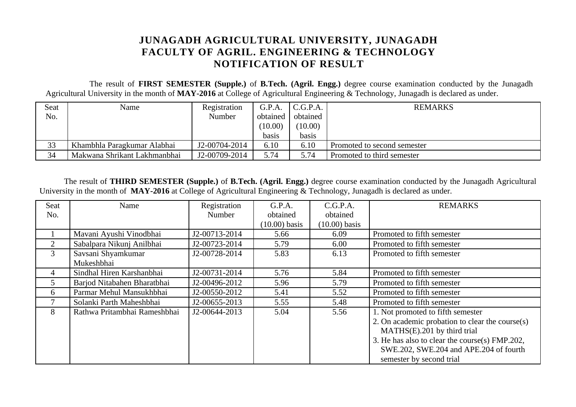## **JUNAGADH AGRICULTURAL UNIVERSITY, JUNAGADH FACULTY OF AGRIL. ENGINEERING & TECHNOLOGY NOTIFICATION OF RESULT**

 The result of **FIRST SEMESTER (Supple.)** of **B.Tech. (Agril. Engg.)** degree course examination conducted by the Junagadh Agricultural University in the month of **MAY-2016** at College of Agricultural Engineering & Technology, Junagadh is declared as under.

| Seat | Name                         | Registration  | G.P.A.   | C.G.P.A. | <b>REMARKS</b>              |
|------|------------------------------|---------------|----------|----------|-----------------------------|
| No.  |                              | <b>Number</b> | obtained | obtained |                             |
|      |                              |               | (10.00)  | (10.00)  |                             |
|      |                              |               | basis    | basis    |                             |
| 33   | Khambhla Paragkumar Alabhai  | J2-00704-2014 | 6.10     | 6.10     | Promoted to second semester |
| 34   | Makwana Shrikant Lakhmanbhai | J2-00709-2014 | 5.74     | 5.74     | Promoted to third semester  |

The result of **THIRD SEMESTER (Supple.)** of **B.Tech. (Agril. Engg.)** degree course examination conducted by the Junagadh Agricultural University in the month of **MAY-2016** at College of Agricultural Engineering & Technology, Junagadh is declared as under.

| <b>Seat</b>    | Name                         | Registration  | G.P.A.          | C.G.P.A.        | <b>REMARKS</b>                                  |
|----------------|------------------------------|---------------|-----------------|-----------------|-------------------------------------------------|
| No.            |                              | Number        | obtained        | obtained        |                                                 |
|                |                              |               | $(10.00)$ basis | $(10.00)$ basis |                                                 |
|                | Mavani Ayushi Vinodbhai      | J2-00713-2014 | 5.66            | 6.09            | Promoted to fifth semester                      |
| $\overline{2}$ | Sabalpara Nikunj Anilbhai    | J2-00723-2014 | 5.79            | 6.00            | Promoted to fifth semester                      |
| $\mathbf{3}$   | Savsani Shyamkumar           | J2-00728-2014 | 5.83            | 6.13            | Promoted to fifth semester                      |
|                | Mukeshbhai                   |               |                 |                 |                                                 |
| 4              | Sindhal Hiren Karshanbhai    | J2-00731-2014 | 5.76            | 5.84            | Promoted to fifth semester                      |
| 5 <sup>1</sup> | Barjod Nitabahen Bharatbhai  | J2-00496-2012 | 5.96            | 5.79            | Promoted to fifth semester                      |
| 6              | Parmar Mehul Mansukhbhai     | J2-00550-2012 | 5.41            | 5.52            | Promoted to fifth semester                      |
| 7              | Solanki Parth Maheshbhai     | J2-00655-2013 | 5.55            | 5.48            | Promoted to fifth semester                      |
| 8              | Rathwa Pritambhai Rameshbhai | J2-00644-2013 | 5.04            | 5.56            | 1. Not promoted to fifth semester               |
|                |                              |               |                 |                 | 2. On academic probation to clear the course(s) |
|                |                              |               |                 |                 | MATHS(E).201 by third trial                     |
|                |                              |               |                 |                 | 3. He has also to clear the course(s) FMP.202,  |
|                |                              |               |                 |                 | SWE.202, SWE.204 and APE.204 of fourth          |
|                |                              |               |                 |                 | semester by second trial                        |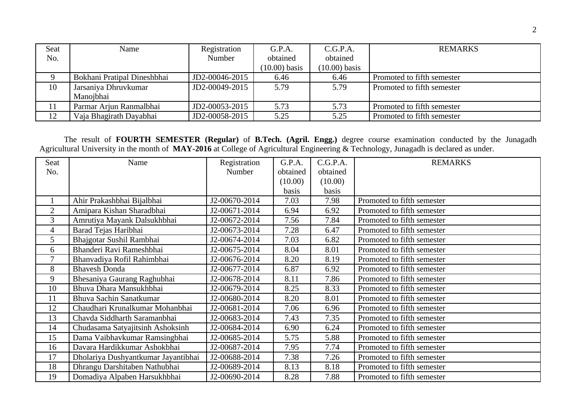| <b>Seat</b> | Name                        | Registration   | G.P.A.          | C.G.P.A.        | <b>REMARKS</b>             |
|-------------|-----------------------------|----------------|-----------------|-----------------|----------------------------|
| No.         |                             | Number         | obtained        | obtained        |                            |
|             |                             |                | $(10.00)$ basis | $(10.00)$ basis |                            |
|             | Bokhani Pratipal Dineshbhai | JD2-00046-2015 | 6.46            | 6.46            | Promoted to fifth semester |
| 10          | Jarsaniya Dhruvkumar        | JD2-00049-2015 | 5.79            | 5.79            | Promoted to fifth semester |
|             | Manojbhai                   |                |                 |                 |                            |
| 11          | Parmar Arjun Ranmalbhai     | JD2-00053-2015 | 5.73            | 5.73            | Promoted to fifth semester |
| 12          | Vaja Bhagirath Dayabhai     | JD2-00058-2015 | 5.25            | 5.25            | Promoted to fifth semester |

The result of **FOURTH SEMESTER (Regular)** of **B.Tech. (Agril. Engg.)** degree course examination conducted by the Junagadh Agricultural University in the month of **MAY-2016** at College of Agricultural Engineering & Technology, Junagadh is declared as under.

| Seat           | Name                                | Registration  | G.P.A.   | C.G.P.A. | <b>REMARKS</b>             |
|----------------|-------------------------------------|---------------|----------|----------|----------------------------|
| No.            |                                     | Number        | obtained | obtained |                            |
|                |                                     |               | (10.00)  | (10.00)  |                            |
|                |                                     |               | basis    | basis    |                            |
| $\mathbf{1}$   | Ahir Prakashbhai Bijalbhai          | J2-00670-2014 | 7.03     | 7.98     | Promoted to fifth semester |
| $\overline{2}$ | Amipara Kishan Sharadbhai           | J2-00671-2014 | 6.94     | 6.92     | Promoted to fifth semester |
| 3              | Amrutiya Mayank Dalsukhbhai         | J2-00672-2014 | 7.56     | 7.84     | Promoted to fifth semester |
| 4              | Barad Tejas Haribhai                | J2-00673-2014 | 7.28     | 6.47     | Promoted to fifth semester |
| 5              | Bhajgotar Sushil Rambhai            | J2-00674-2014 | 7.03     | 6.82     | Promoted to fifth semester |
| 6              | Bhanderi Ravi Rameshbhai            | J2-00675-2014 | 8.04     | 8.01     | Promoted to fifth semester |
| 7              | Bhanvadiya Rofil Rahimbhai          | J2-00676-2014 | 8.20     | 8.19     | Promoted to fifth semester |
| 8              | <b>Bhavesh Donda</b>                | J2-00677-2014 | 6.87     | 6.92     | Promoted to fifth semester |
| 9              | Bhesaniya Gaurang Raghubhai         | J2-00678-2014 | 8.11     | 7.86     | Promoted to fifth semester |
| 10             | Bhuva Dhara Mansukhbhai             | J2-00679-2014 | 8.25     | 8.33     | Promoted to fifth semester |
| 11             | Bhuva Sachin Sanatkumar             | J2-00680-2014 | 8.20     | 8.01     | Promoted to fifth semester |
| 12             | Chaudhari Krunalkumar Mohanbhai     | J2-00681-2014 | 7.06     | 6.96     | Promoted to fifth semester |
| 13             | Chavda Siddharth Saramanbhai        | J2-00683-2014 | 7.43     | 7.35     | Promoted to fifth semester |
| 14             | Chudasama Satyajitsinh Ashoksinh    | J2-00684-2014 | 6.90     | 6.24     | Promoted to fifth semester |
| 15             | Dama Vaibhavkumar Ramsingbhai       | J2-00685-2014 | 5.75     | 5.88     | Promoted to fifth semester |
| 16             | Davara Hardikkumar Ashokbhai        | J2-00687-2014 | 7.95     | 7.74     | Promoted to fifth semester |
| 17             | Dholariya Dushyantkumar Jayantibhai | J2-00688-2014 | 7.38     | 7.26     | Promoted to fifth semester |
| 18             | Dhrangu Darshitaben Nathubhai       | J2-00689-2014 | 8.13     | 8.18     | Promoted to fifth semester |
| 19             | Domadiya Alpaben Harsukhbhai        | J2-00690-2014 | 8.28     | 7.88     | Promoted to fifth semester |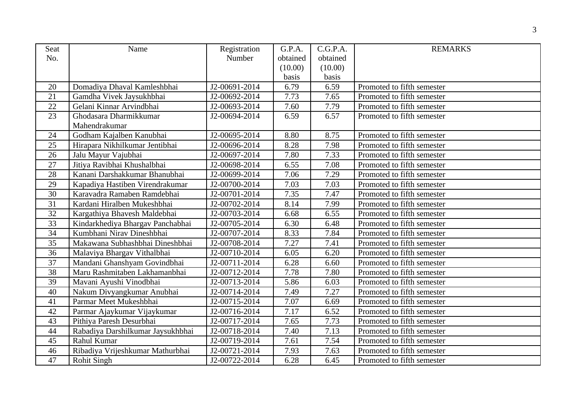| Seat | Name                              | Registration  | G.P.A.   | C.G.P.A. | <b>REMARKS</b>             |
|------|-----------------------------------|---------------|----------|----------|----------------------------|
| No.  |                                   | Number        | obtained | obtained |                            |
|      |                                   |               | (10.00)  | (10.00)  |                            |
|      |                                   |               | basis    | basis    |                            |
| 20   | Domadiya Dhaval Kamleshbhai       | J2-00691-2014 | 6.79     | 6.59     | Promoted to fifth semester |
| 21   | Gamdha Vivek Jaysukhbhai          | J2-00692-2014 | 7.73     | 7.65     | Promoted to fifth semester |
| 22   | Gelani Kinnar Arvindbhai          | J2-00693-2014 | 7.60     | 7.79     | Promoted to fifth semester |
| 23   | Ghodasara Dharmikkumar            | J2-00694-2014 | 6.59     | 6.57     | Promoted to fifth semester |
|      | Mahendrakumar                     |               |          |          |                            |
| 24   | Godham Kajalben Kanubhai          | J2-00695-2014 | 8.80     | 8.75     | Promoted to fifth semester |
| 25   | Hirapara Nikhilkumar Jentibhai    | J2-00696-2014 | 8.28     | 7.98     | Promoted to fifth semester |
| 26   | Jalu Mayur Vajubhai               | J2-00697-2014 | 7.80     | 7.33     | Promoted to fifth semester |
| 27   | Jitiya Ravibhai Khushalbhai       | J2-00698-2014 | 6.55     | 7.08     | Promoted to fifth semester |
| 28   | Kanani Darshakkumar Bhanubhai     | J2-00699-2014 | 7.06     | 7.29     | Promoted to fifth semester |
| 29   | Kapadiya Hastiben Virendrakumar   | J2-00700-2014 | 7.03     | 7.03     | Promoted to fifth semester |
| 30   | Karavadra Ramaben Ramdebhai       | J2-00701-2014 | 7.35     | 7.47     | Promoted to fifth semester |
| 31   | Kardani Hiralben Mukeshbhai       | J2-00702-2014 | 8.14     | 7.99     | Promoted to fifth semester |
| 32   | Kargathiya Bhavesh Maldebhai      | J2-00703-2014 | 6.68     | 6.55     | Promoted to fifth semester |
| 33   | Kindarkhediya Bhargav Panchabhai  | J2-00705-2014 | 6.30     | 6.48     | Promoted to fifth semester |
| 34   | Kumbhani Nirav Dineshbhai         | J2-00707-2014 | 8.33     | 7.84     | Promoted to fifth semester |
| 35   | Makawana Subhashbhai Dineshbhai   | J2-00708-2014 | 7.27     | 7.41     | Promoted to fifth semester |
| 36   | Malaviya Bhargav Vithalbhai       | J2-00710-2014 | 6.05     | 6.20     | Promoted to fifth semester |
| 37   | Mandani Ghanshyam Govindbhai      | J2-00711-2014 | 6.28     | 6.60     | Promoted to fifth semester |
| 38   | Maru Rashmitaben Lakhamanbhai     | J2-00712-2014 | 7.78     | 7.80     | Promoted to fifth semester |
| 39   | Mavani Ayushi Vinodbhai           | J2-00713-2014 | 5.86     | 6.03     | Promoted to fifth semester |
| 40   | Nakum Divyangkumar Anubhai        | J2-00714-2014 | 7.49     | 7.27     | Promoted to fifth semester |
| 41   | Parmar Meet Mukeshbhai            | J2-00715-2014 | 7.07     | 6.69     | Promoted to fifth semester |
| 42   | Parmar Ajaykumar Vijaykumar       | J2-00716-2014 | 7.17     | 6.52     | Promoted to fifth semester |
| 43   | Pithiya Paresh Desurbhai          | J2-00717-2014 | 7.65     | 7.73     | Promoted to fifth semester |
| 44   | Rabadiya Darshilkumar Jaysukhbhai | J2-00718-2014 | 7.40     | 7.13     | Promoted to fifth semester |
| 45   | Rahul Kumar                       | J2-00719-2014 | 7.61     | 7.54     | Promoted to fifth semester |
| 46   | Ribadiya Vrijeshkumar Mathurbhai  | J2-00721-2014 | 7.93     | 7.63     | Promoted to fifth semester |
| 47   | <b>Rohit Singh</b>                | J2-00722-2014 | 6.28     | 6.45     | Promoted to fifth semester |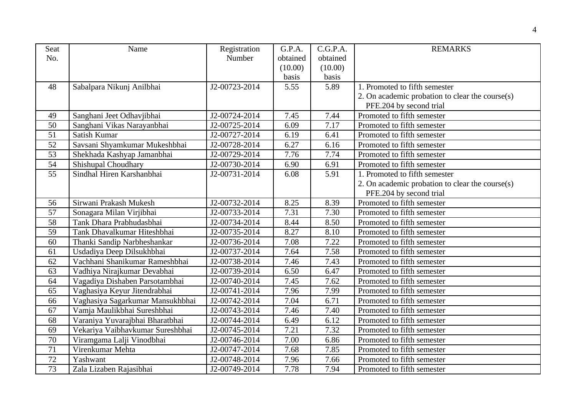| Seat            | Name                             | Registration  | G.P.A.   | C.G.P.A. | <b>REMARKS</b>                                  |
|-----------------|----------------------------------|---------------|----------|----------|-------------------------------------------------|
| No.             |                                  | Number        | obtained | obtained |                                                 |
|                 |                                  |               | (10.00)  | (10.00)  |                                                 |
|                 |                                  |               | basis    | basis    |                                                 |
| 48              | Sabalpara Nikunj Anilbhai        | J2-00723-2014 | 5.55     | 5.89     | 1. Promoted to fifth semester                   |
|                 |                                  |               |          |          | 2. On academic probation to clear the course(s) |
|                 |                                  |               |          |          | PFE.204 by second trial                         |
| 49              | Sanghani Jeet Odhavjibhai        | J2-00724-2014 | 7.45     | 7.44     | Promoted to fifth semester                      |
| 50              | Sanghani Vikas Narayanbhai       | J2-00725-2014 | 6.09     | 7.17     | Promoted to fifth semester                      |
| $\overline{51}$ | Satish Kumar                     | J2-00727-2014 | 6.19     | 6.41     | Promoted to fifth semester                      |
| 52              | Savsani Shyamkumar Mukeshbhai    | J2-00728-2014 | 6.27     | 6.16     | Promoted to fifth semester                      |
| 53              | Shekhada Kashyap Jamanbhai       | J2-00729-2014 | 7.76     | 7.74     | Promoted to fifth semester                      |
| 54              | Shishupal Choudhary              | J2-00730-2014 | 6.90     | 6.91     | Promoted to fifth semester                      |
| 55              | Sindhal Hiren Karshanbhai        | J2-00731-2014 | 6.08     | 5.91     | 1. Promoted to fifth semester                   |
|                 |                                  |               |          |          | 2. On academic probation to clear the course(s) |
|                 |                                  |               |          |          | PFE.204 by second trial                         |
| 56              | Sirwani Prakash Mukesh           | J2-00732-2014 | 8.25     | 8.39     | Promoted to fifth semester                      |
| 57              | Sonagara Milan Virjibhai         | J2-00733-2014 | 7.31     | 7.30     | Promoted to fifth semester                      |
| 58              | Tank Dhara Prabhudasbhai         | J2-00734-2014 | 8.44     | 8.50     | Promoted to fifth semester                      |
| 59              | Tank Dhavalkumar Hiteshbhai      | J2-00735-2014 | 8.27     | 8.10     | Promoted to fifth semester                      |
| $\overline{60}$ | Thanki Sandip Narbheshankar      | J2-00736-2014 | 7.08     | 7.22     | Promoted to fifth semester                      |
| 61              | Usdadiya Deep Dilsukhbhai        | J2-00737-2014 | 7.64     | 7.58     | Promoted to fifth semester                      |
| 62              | Vachhani Shanikumar Rameshbhai   | J2-00738-2014 | 7.46     | 7.43     | Promoted to fifth semester                      |
| 63              | Vadhiya Nirajkumar Devabhai      | J2-00739-2014 | 6.50     | 6.47     | Promoted to fifth semester                      |
| 64              | Vagadiya Dishaben Parsotambhai   | J2-00740-2014 | 7.45     | 7.62     | Promoted to fifth semester                      |
| 65              | Vaghasiya Keyur Jitendrabhai     | J2-00741-2014 | 7.96     | 7.99     | Promoted to fifth semester                      |
| 66              | Vaghasiya Sagarkumar Mansukhbhai | J2-00742-2014 | 7.04     | 6.71     | Promoted to fifth semester                      |
| 67              | Vamja Maulikbhai Sureshbhai      | J2-00743-2014 | 7.46     | 7.40     | Promoted to fifth semester                      |
| 68              | Varaniya Yuvarajbhai Bharatbhai  | J2-00744-2014 | 6.49     | 6.12     | Promoted to fifth semester                      |
| 69              | Vekariya Vaibhavkumar Sureshbhai | J2-00745-2014 | 7.21     | 7.32     | Promoted to fifth semester                      |
| 70              | Viramgama Lalji Vinodbhai        | J2-00746-2014 | 7.00     | 6.86     | Promoted to fifth semester                      |
| 71              | Virenkumar Mehta                 | J2-00747-2014 | 7.68     | 7.85     | Promoted to fifth semester                      |
| 72              | Yashwant                         | J2-00748-2014 | 7.96     | 7.66     | Promoted to fifth semester                      |
| 73              | Zala Lizaben Rajasibhai          | J2-00749-2014 | 7.78     | 7.94     | Promoted to fifth semester                      |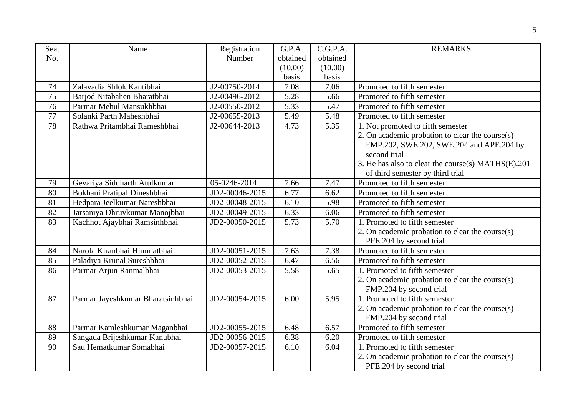| Seat | Name                              | Registration   | G.P.A.   | C.G.P.A. | <b>REMARKS</b>                                     |
|------|-----------------------------------|----------------|----------|----------|----------------------------------------------------|
| No.  |                                   | Number         | obtained | obtained |                                                    |
|      |                                   |                | (10.00)  | (10.00)  |                                                    |
|      |                                   |                | basis    | basis    |                                                    |
| 74   | Zalavadia Shlok Kantibhai         | J2-00750-2014  | 7.08     | 7.06     | Promoted to fifth semester                         |
| 75   | Barjod Nitabahen Bharatbhai       | J2-00496-2012  | 5.28     | 5.66     | Promoted to fifth semester                         |
| 76   | Parmar Mehul Mansukhbhai          | J2-00550-2012  | 5.33     | 5.47     | Promoted to fifth semester                         |
| 77   | Solanki Parth Maheshbhai          | J2-00655-2013  | 5.49     | 5.48     | Promoted to fifth semester                         |
| 78   | Rathwa Pritambhai Rameshbhai      | J2-00644-2013  | 4.73     | 5.35     | 1. Not promoted to fifth semester                  |
|      |                                   |                |          |          | 2. On academic probation to clear the course(s)    |
|      |                                   |                |          |          | FMP.202, SWE.202, SWE.204 and APE.204 by           |
|      |                                   |                |          |          | second trial                                       |
|      |                                   |                |          |          | 3. He has also to clear the course(s) MATHS(E).201 |
|      |                                   |                |          |          | of third semester by third trial                   |
| 79   | Gevariya Siddharth Atulkumar      | 05-0246-2014   | 7.66     | 7.47     | Promoted to fifth semester                         |
| 80   | Bokhani Pratipal Dineshbhai       | JD2-00046-2015 | 6.77     | 6.62     | Promoted to fifth semester                         |
| 81   | Hedpara Jeelkumar Nareshbhai      | JD2-00048-2015 | 6.10     | 5.98     | Promoted to fifth semester                         |
| 82   | Jarsaniya Dhruvkumar Manojbhai    | JD2-00049-2015 | 6.33     | 6.06     | Promoted to fifth semester                         |
| 83   | Kachhot Ajaybhai Ramsinhbhai      | JD2-00050-2015 | 5.73     | 5.70     | 1. Promoted to fifth semester                      |
|      |                                   |                |          |          | 2. On academic probation to clear the course(s)    |
|      |                                   |                |          |          | PFE.204 by second trial                            |
| 84   | Narola Kiranbhai Himmatbhai       | JD2-00051-2015 | 7.63     | 7.38     | Promoted to fifth semester                         |
| 85   | Paladiya Krunal Sureshbhai        | JD2-00052-2015 | 6.47     | 6.56     | Promoted to fifth semester                         |
| 86   | Parmar Arjun Ranmalbhai           | JD2-00053-2015 | 5.58     | 5.65     | 1. Promoted to fifth semester                      |
|      |                                   |                |          |          | 2. On academic probation to clear the course(s)    |
|      |                                   |                |          |          | FMP.204 by second trial                            |
| 87   | Parmar Jayeshkumar Bharatsinhbhai | JD2-00054-2015 | 6.00     | 5.95     | 1. Promoted to fifth semester                      |
|      |                                   |                |          |          | 2. On academic probation to clear the course(s)    |
|      |                                   |                |          |          | FMP.204 by second trial                            |
| 88   | Parmar Kamleshkumar Maganbhai     | JD2-00055-2015 | 6.48     | 6.57     | Promoted to fifth semester                         |
| 89   | Sangada Brijeshkumar Kanubhai     | JD2-00056-2015 | 6.38     | 6.20     | Promoted to fifth semester                         |
| 90   | Sau Hematkumar Somabhai           | JD2-00057-2015 | 6.10     | 6.04     | 1. Promoted to fifth semester                      |
|      |                                   |                |          |          | 2. On academic probation to clear the course(s)    |
|      |                                   |                |          |          | PFE.204 by second trial                            |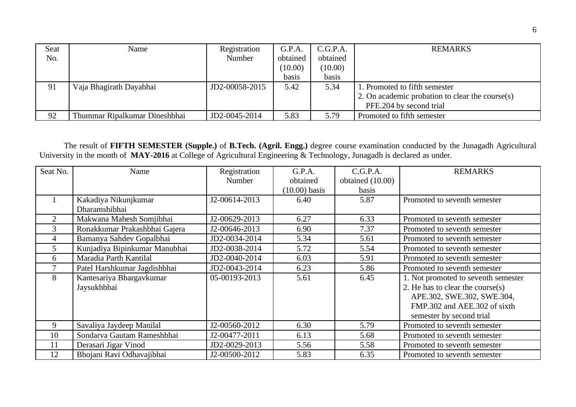| Seat | Name                          | Registration   | G.P.A.   | C.G.P.A. | <b>REMARKS</b>                                  |
|------|-------------------------------|----------------|----------|----------|-------------------------------------------------|
| No.  |                               | Number         | obtained | obtained |                                                 |
|      |                               |                | (10.00)  | (10.00)  |                                                 |
|      |                               |                | basis    | basis    |                                                 |
| 91   | Vaja Bhagirath Dayabhai       | JD2-00058-2015 | 5.42     | 5.34     | 1. Promoted to fifth semester                   |
|      |                               |                |          |          | 2. On academic probation to clear the course(s) |
|      |                               |                |          |          | PFE.204 by second trial                         |
| 92   | Thummar Ripalkumar Dineshbhai | JD2-0045-2014  | 5.83     | 5.79     | Promoted to fifth semester                      |

The result of **FIFTH SEMESTER (Supple.)** of **B.Tech. (Agril. Engg.)** degree course examination conducted by the Junagadh Agricultural University in the month of **MAY-2016** at College of Agricultural Engineering & Technology, Junagadh is declared as under.

| Seat No.       | Name                          | Registration<br><b>Number</b> | G.P.A.<br>obtained | C.G.P.A.<br>obtained (10.00) | <b>REMARKS</b>                      |
|----------------|-------------------------------|-------------------------------|--------------------|------------------------------|-------------------------------------|
|                |                               |                               | (10.00) basis      | basis                        |                                     |
|                | Kakadiya Nikunjkumar          | J2-00614-2013                 | 6.40               | 5.87                         | Promoted to seventh semester        |
|                | Dharamshibhai                 |                               |                    |                              |                                     |
| $\overline{2}$ | Makwana Mahesh Somjibhai      | J2-00629-2013                 | 6.27               | 6.33                         | Promoted to seventh semester        |
| 3              | Ronakkumar Prakashbhai Gajera | J2-00646-2013                 | 6.90               | 7.37                         | Promoted to seventh semester        |
| 4              | Bamanya Sahdev Gopalbhai      | JD2-0034-2014                 | 5.34               | 5.61                         | Promoted to seventh semester        |
| 5              | Kunjadiya Bipinkumar Manubhai | JD2-0038-2014                 | 5.72               | 5.54                         | Promoted to seventh semester        |
| 6              | Maradia Parth Kantilal        | JD2-0040-2014                 | 6.03               | 5.91                         | Promoted to seventh semester        |
|                | Patel Harshkumar Jagdishbhai  | JD2-0043-2014                 | 6.23               | 5.86                         | Promoted to seventh semester        |
| 8              | Kantesariya Bhargavkumar      | 05-00193-2013                 | 5.61               | 6.45                         | 1. Not promoted to seventh semester |
|                | Jaysukhbhai                   |                               |                    |                              | 2. He has to clear the course(s)    |
|                |                               |                               |                    |                              | APE.302, SWE.302, SWE.304,          |
|                |                               |                               |                    |                              | FMP.302 and AEE.302 of sixth        |
|                |                               |                               |                    |                              | semester by second trial            |
| 9              | Savaliya Jaydeep Manilal      | J2-00560-2012                 | 6.30               | 5.79                         | Promoted to seventh semester        |
| 10             | Sondarva Gautam Rameshbhai    | J2-00477-2011                 | 6.13               | 5.68                         | Promoted to seventh semester        |
| 11             | Derasari Jigar Vinod          | JD2-0029-2013                 | 5.56               | 5.58                         | Promoted to seventh semester        |
| 12             | Bhojani Ravi Odhavajibhai     | J2-00500-2012                 | 5.83               | 6.35                         | Promoted to seventh semester        |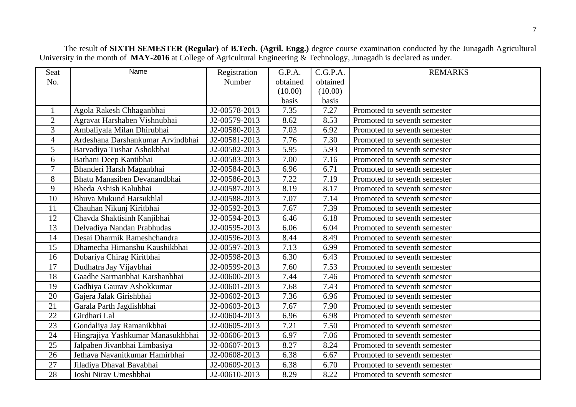The result of **SIXTH SEMESTER (Regular)** of **B.Tech. (Agril. Engg.)** degree course examination conducted by the Junagadh Agricultural University in the month of **MAY-2016** at College of Agricultural Engineering & Technology, Junagadh is declared as under.

| <b>Seat</b>    | Name                              | Registration  | G.P.A.   | C.G.P.A. | <b>REMARKS</b>               |
|----------------|-----------------------------------|---------------|----------|----------|------------------------------|
| No.            |                                   | Number        | obtained | obtained |                              |
|                |                                   |               | (10.00)  | (10.00)  |                              |
|                |                                   |               | basis    | basis    |                              |
| $\mathbf{1}$   | Agola Rakesh Chhaganbhai          | J2-00578-2013 | 7.35     | 7.27     | Promoted to seventh semester |
| $\overline{2}$ | Agravat Harshaben Vishnubhai      | J2-00579-2013 | 8.62     | 8.53     | Promoted to seventh semester |
| 3              | Ambaliyala Milan Dhirubhai        | J2-00580-2013 | 7.03     | 6.92     | Promoted to seventh semester |
| $\overline{4}$ | Ardeshana Darshankumar Arvindbhai | J2-00581-2013 | 7.76     | 7.30     | Promoted to seventh semester |
| 5              | Barvadiya Tushar Ashokbhai        | J2-00582-2013 | 5.95     | 5.93     | Promoted to seventh semester |
| 6              | Bathani Deep Kantibhai            | J2-00583-2013 | 7.00     | 7.16     | Promoted to seventh semester |
| $\overline{7}$ | Bhanderi Harsh Maganbhai          | J2-00584-2013 | 6.96     | 6.71     | Promoted to seventh semester |
| 8              | Bhatu Manasiben Devanandbhai      | J2-00586-2013 | 7.22     | 7.19     | Promoted to seventh semester |
| 9              | Bheda Ashish Kalubhai             | J2-00587-2013 | 8.19     | 8.17     | Promoted to seventh semester |
| 10             | Bhuva Mukund Harsukhlal           | J2-00588-2013 | 7.07     | 7.14     | Promoted to seventh semester |
| 11             | Chauhan Nikunj Kiritbhai          | J2-00592-2013 | 7.67     | 7.39     | Promoted to seventh semester |
| 12             | Chavda Shaktisinh Kanjibhai       | J2-00594-2013 | 6.46     | 6.18     | Promoted to seventh semester |
| 13             | Delvadiya Nandan Prabhudas        | J2-00595-2013 | 6.06     | 6.04     | Promoted to seventh semester |
| 14             | Desai Dharmik Rameshchandra       | J2-00596-2013 | 8.44     | 8.49     | Promoted to seventh semester |
| 15             | Dhamecha Himanshu Kaushikbhai     | J2-00597-2013 | 7.13     | 6.99     | Promoted to seventh semester |
| 16             | Dobariya Chirag Kiritbhai         | J2-00598-2013 | 6.30     | 6.43     | Promoted to seventh semester |
| 17             | Dudhatra Jay Vijaybhai            | J2-00599-2013 | 7.60     | 7.53     | Promoted to seventh semester |
| 18             | Gaadhe Sarmanbhai Karshanbhai     | J2-00600-2013 | 7.44     | 7.46     | Promoted to seventh semester |
| 19             | Gadhiya Gaurav Ashokkumar         | J2-00601-2013 | 7.68     | 7.43     | Promoted to seventh semester |
| 20             | Gajera Jalak Girishbhai           | J2-00602-2013 | 7.36     | 6.96     | Promoted to seventh semester |
| 21             | Garala Parth Jagdishbhai          | J2-00603-2013 | 7.67     | 7.90     | Promoted to seventh semester |
| 22             | Girdhari Lal                      | J2-00604-2013 | 6.96     | 6.98     | Promoted to seventh semester |
| 23             | Gondaliya Jay Ramanikbhai         | J2-00605-2013 | 7.21     | 7.50     | Promoted to seventh semester |
| 24             | Hingrajiya Yashkumar Manasukhbhai | J2-00606-2013 | 6.97     | 7.06     | Promoted to seventh semester |
| 25             | Jalpaben Jivanbhai Limbasiya      | J2-00607-2013 | 8.27     | 8.24     | Promoted to seventh semester |
| 26             | Jethava Navanitkumar Hamirbhai    | J2-00608-2013 | 6.38     | 6.67     | Promoted to seventh semester |
| 27             | Jiladiya Dhaval Bavabhai          | J2-00609-2013 | 6.38     | 6.70     | Promoted to seventh semester |
| 28             | Joshi Nirav Umeshbhai             | J2-00610-2013 | 8.29     | 8.22     | Promoted to seventh semester |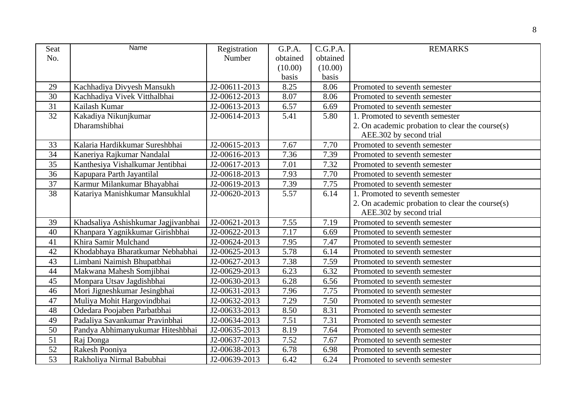| <b>Seat</b> | Name                                | Registration  | G.P.A.   | C.G.P.A. | <b>REMARKS</b>                                  |
|-------------|-------------------------------------|---------------|----------|----------|-------------------------------------------------|
| No.         |                                     | Number        | obtained | obtained |                                                 |
|             |                                     |               | (10.00)  | (10.00)  |                                                 |
|             |                                     |               | basis    | basis    |                                                 |
| 29          | Kachhadiya Divyesh Mansukh          | J2-00611-2013 | 8.25     | 8.06     | Promoted to seventh semester                    |
| 30          | Kachhadiya Vivek Vitthalbhai        | J2-00612-2013 | 8.07     | 8.06     | Promoted to seventh semester                    |
| 31          | Kailash Kumar                       | J2-00613-2013 | 6.57     | 6.69     | Promoted to seventh semester                    |
| 32          | Kakadiya Nikunjkumar                | J2-00614-2013 | 5.41     | 5.80     | 1. Promoted to seventh semester                 |
|             | Dharamshibhai                       |               |          |          | 2. On academic probation to clear the course(s) |
|             |                                     |               |          |          | AEE.302 by second trial                         |
| 33          | Kalaria Hardikkumar Sureshbhai      | J2-00615-2013 | 7.67     | 7.70     | Promoted to seventh semester                    |
| 34          | Kaneriya Rajkumar Nandalal          | J2-00616-2013 | 7.36     | 7.39     | Promoted to seventh semester                    |
| 35          | Kanthesiya Vishalkumar Jentibhai    | J2-00617-2013 | 7.01     | 7.32     | Promoted to seventh semester                    |
| 36          | Kapupara Parth Jayantilal           | J2-00618-2013 | 7.93     | 7.70     | Promoted to seventh semester                    |
| 37          | Karmur Milankumar Bhayabhai         | J2-00619-2013 | 7.39     | 7.75     | Promoted to seventh semester                    |
| 38          | Katariya Manishkumar Mansukhlal     | J2-00620-2013 | 5.57     | 6.14     | 1. Promoted to seventh semester                 |
|             |                                     |               |          |          | 2. On academic probation to clear the course(s) |
|             |                                     |               |          |          | AEE.302 by second trial                         |
| 39          | Khadsaliya Ashishkumar Jagjivanbhai | J2-00621-2013 | 7.55     | 7.19     | Promoted to seventh semester                    |
| 40          | Khanpara Yagnikkumar Girishbhai     | J2-00622-2013 | 7.17     | 6.69     | Promoted to seventh semester                    |
| 41          | Khira Samir Mulchand                | J2-00624-2013 | 7.95     | 7.47     | Promoted to seventh semester                    |
| 42          | Khodabhaya Bharatkumar Nebhabhai    | J2-00625-2013 | 5.78     | 6.14     | Promoted to seventh semester                    |
| 43          | Limbani Naimish Bhupatbhai          | J2-00627-2013 | 7.38     | 7.59     | Promoted to seventh semester                    |
| 44          | Makwana Mahesh Somjibhai            | J2-00629-2013 | 6.23     | 6.32     | Promoted to seventh semester                    |
| 45          | Monpara Utsav Jagdishbhai           | J2-00630-2013 | 6.28     | 6.56     | Promoted to seventh semester                    |
| 46          | Mori Jigneshkumar Jesingbhai        | J2-00631-2013 | 7.96     | 7.75     | Promoted to seventh semester                    |
| 47          | Muliya Mohit Hargovindbhai          | J2-00632-2013 | 7.29     | 7.50     | Promoted to seventh semester                    |
| 48          | Odedara Poojaben Parbatbhai         | J2-00633-2013 | 8.50     | 8.31     | Promoted to seventh semester                    |
| 49          | Padaliya Savankumar Pravinbhai      | J2-00634-2013 | 7.51     | 7.31     | Promoted to seventh semester                    |
| 50          | Pandya Abhimanyukumar Hiteshbhai    | J2-00635-2013 | 8.19     | 7.64     | Promoted to seventh semester                    |
| 51          | Raj Donga                           | J2-00637-2013 | 7.52     | 7.67     | Promoted to seventh semester                    |
| 52          | Rakesh Pooniya                      | J2-00638-2013 | 6.78     | 6.98     | Promoted to seventh semester                    |
| 53          | Rakholiya Nirmal Babubhai           | J2-00639-2013 | 6.42     | 6.24     | Promoted to seventh semester                    |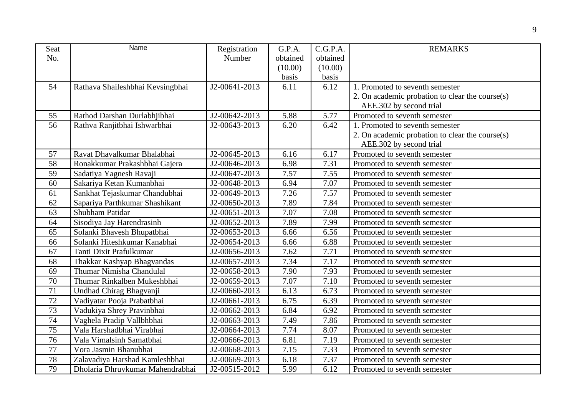| <b>Seat</b> | Name                             | Registration  | G.P.A.   | C.G.P.A. | <b>REMARKS</b>                                  |
|-------------|----------------------------------|---------------|----------|----------|-------------------------------------------------|
| No.         |                                  | Number        | obtained | obtained |                                                 |
|             |                                  |               | (10.00)  | (10.00)  |                                                 |
|             |                                  |               | basis    | basis    |                                                 |
| 54          | Rathava Shaileshbhai Kevsingbhai | J2-00641-2013 | 6.11     | 6.12     | 1. Promoted to seventh semester                 |
|             |                                  |               |          |          | 2. On academic probation to clear the course(s) |
|             |                                  |               |          |          | AEE.302 by second trial                         |
| 55          | Rathod Darshan Durlabhjibhai     | J2-00642-2013 | 5.88     | 5.77     | Promoted to seventh semester                    |
| 56          | Rathva Ranjitbhai Ishwarbhai     | J2-00643-2013 | 6.20     | 6.42     | 1. Promoted to seventh semester                 |
|             |                                  |               |          |          | 2. On academic probation to clear the course(s) |
|             |                                  |               |          |          | AEE.302 by second trial                         |
| 57          | Ravat Dhavalkumar Bhalabhai      | J2-00645-2013 | 6.16     | 6.17     | Promoted to seventh semester                    |
| 58          | Ronakkumar Prakashbhai Gajera    | J2-00646-2013 | 6.98     | 7.31     | Promoted to seventh semester                    |
| 59          | Sadatiya Yagnesh Ravaji          | J2-00647-2013 | 7.57     | 7.55     | Promoted to seventh semester                    |
| 60          | Sakariya Ketan Kumanbhai         | J2-00648-2013 | 6.94     | 7.07     | Promoted to seventh semester                    |
| 61          | Sankhat Tejaskumar Chandubhai    | J2-00649-2013 | 7.26     | 7.57     | Promoted to seventh semester                    |
| 62          | Sapariya Parthkumar Shashikant   | J2-00650-2013 | 7.89     | 7.84     | Promoted to seventh semester                    |
| 63          | Shubham Patidar                  | J2-00651-2013 | 7.07     | 7.08     | Promoted to seventh semester                    |
| 64          | Sisodiya Jay Harendrasinh        | J2-00652-2013 | 7.89     | 7.99     | Promoted to seventh semester                    |
| 65          | Solanki Bhavesh Bhupatbhai       | J2-00653-2013 | 6.66     | 6.56     | Promoted to seventh semester                    |
| 66          | Solanki Hiteshkumar Kanabhai     | J2-00654-2013 | 6.66     | 6.88     | Promoted to seventh semester                    |
| 67          | Tanti Dixit Prafulkumar          | J2-00656-2013 | 7.62     | 7.71     | Promoted to seventh semester                    |
| 68          | Thakkar Kashyap Bhagvandas       | J2-00657-2013 | 7.34     | 7.17     | Promoted to seventh semester                    |
| 69          | Thumar Nimisha Chandulal         | J2-00658-2013 | 7.90     | 7.93     | Promoted to seventh semester                    |
| 70          | Thumar Rinkalben Mukeshbhai      | J2-00659-2013 | 7.07     | 7.10     | Promoted to seventh semester                    |
| 71          | Undhad Chirag Bhagvanji          | J2-00660-2013 | 6.13     | 6.73     | Promoted to seventh semester                    |
| $72\,$      | Vadiyatar Pooja Prabatbhai       | J2-00661-2013 | 6.75     | 6.39     | Promoted to seventh semester                    |
| 73          | Vadukiya Shrey Pravinbhai        | J2-00662-2013 | 6.84     | 6.92     | Promoted to seventh semester                    |
| 74          | Vaghela Pradip Vallbhbhai        | J2-00663-2013 | 7.49     | 7.86     | Promoted to seventh semester                    |
| 75          | Vala Harshadbhai Virabhai        | J2-00664-2013 | 7.74     | 8.07     | Promoted to seventh semester                    |
| 76          | Vala Vimalsinh Samatbhai         | J2-00666-2013 | 6.81     | 7.19     | Promoted to seventh semester                    |
| 77          | Vora Jasmin Bhanubhai            | J2-00668-2013 | 7.15     | 7.33     | Promoted to seventh semester                    |
| 78          | Zalavadiya Harshad Kamleshbhai   | J2-00669-2013 | 6.18     | 7.37     | Promoted to seventh semester                    |
| 79          | Dholaria Dhruvkumar Mahendrabhai | J2-00515-2012 | 5.99     | 6.12     | Promoted to seventh semester                    |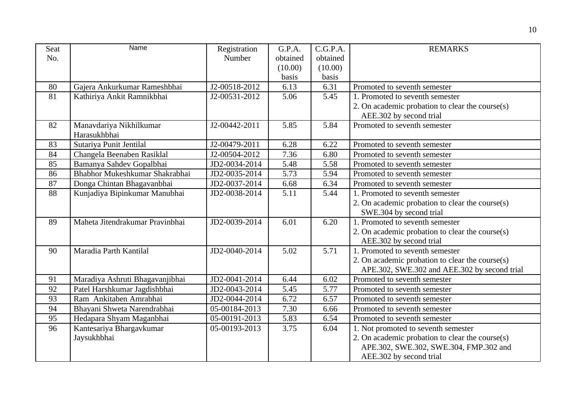| <b>Seat</b> | Name                            | Registration  | G.P.A.   | C.G.P.A. | <b>REMARKS</b>                                  |
|-------------|---------------------------------|---------------|----------|----------|-------------------------------------------------|
| No.         |                                 | Number        | obtained | obtained |                                                 |
|             |                                 |               | (10.00)  | (10.00)  |                                                 |
|             |                                 |               | basis    | basis    |                                                 |
| 80          | Gajera Ankurkumar Rameshbhai    | J2-00518-2012 | 6.13     | 6.31     | Promoted to seventh semester                    |
| 81          | Kathiriya Ankit Ramnikbhai      | J2-00531-2012 | 5.06     | 5.45     | 1. Promoted to seventh semester                 |
|             |                                 |               |          |          | 2. On academic probation to clear the course(s) |
|             |                                 |               |          |          | AEE.302 by second trial                         |
| 82          | Manavdariya Nikhilkumar         | J2-00442-2011 | 5.85     | 5.84     | Promoted to seventh semester                    |
|             | Harasukhbhai                    |               |          |          |                                                 |
| 83          | Sutariya Punit Jentilal         | J2-00479-2011 | 6.28     | 6.22     | Promoted to seventh semester                    |
| 84          | Changela Beenaben Rasiklal      | J2-00504-2012 | 7.36     | 6.80     | Promoted to seventh semester                    |
| 85          | Bamanya Sahdev Gopalbhai        | JD2-0034-2014 | 5.48     | 5.58     | Promoted to seventh semester                    |
| 86          | Bhabhor Mukeshkumar Shakrabhai  | JD2-0035-2014 | 5.73     | 5.94     | Promoted to seventh semester                    |
| 87          | Donga Chintan Bhagavanbhai      | JD2-0037-2014 | 6.68     | 6.34     | Promoted to seventh semester                    |
| 88          | Kunjadiya Bipinkumar Manubhai   | JD2-0038-2014 | 5.11     | 5.44     | 1. Promoted to seventh semester                 |
|             |                                 |               |          |          | 2. On academic probation to clear the course(s) |
|             |                                 |               |          |          | SWE.304 by second trial                         |
| 89          | Maheta Jitendrakumar Pravinbhai | JD2-0039-2014 | 6.01     | 6.20     | 1. Promoted to seventh semester                 |
|             |                                 |               |          |          | 2. On academic probation to clear the course(s) |
|             |                                 |               |          |          | AEE.302 by second trial                         |
| 90          | Maradia Parth Kantilal          | JD2-0040-2014 | 5.02     | 5.71     | 1. Promoted to seventh semester                 |
|             |                                 |               |          |          | 2. On academic probation to clear the course(s) |
|             |                                 |               |          |          | APE.302, SWE.302 and AEE.302 by second trial    |
| 91          | Maradiya Ashruti Bhagavanjibhai | JD2-0041-2014 | 6.44     | 6.02     | Promoted to seventh semester                    |
| 92          | Patel Harshkumar Jagdishbhai    | JD2-0043-2014 | 5.45     | 5.77     | Promoted to seventh semester                    |
| 93          | Ram Ankitaben Amrabhai          | JD2-0044-2014 | 6.72     | 6.57     | Promoted to seventh semester                    |
| 94          | Bhayani Shweta Narendrabhai     | 05-00184-2013 | 7.30     | 6.66     | Promoted to seventh semester                    |
| 95          | Hedapara Shyam Maganbhai        | 05-00191-2013 | 5.83     | 6.54     | Promoted to seventh semester                    |
| 96          | Kantesariya Bhargavkumar        | 05-00193-2013 | 3.75     | 6.04     | 1. Not promoted to seventh semester             |
|             | Jaysukhbhai                     |               |          |          | 2. On academic probation to clear the course(s) |
|             |                                 |               |          |          | APE.302, SWE.302, SWE.304, FMP.302 and          |
|             |                                 |               |          |          | AEE.302 by second trial                         |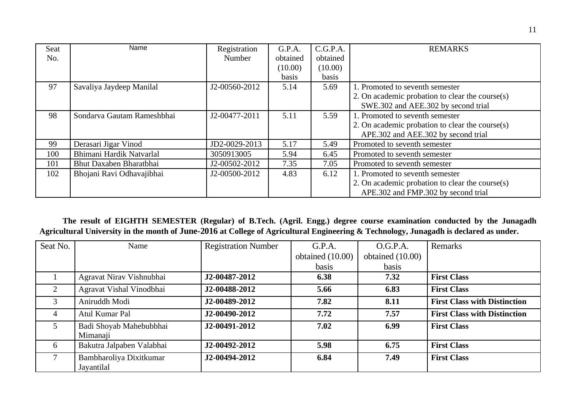| <b>Seat</b> | Name                       | Registration  | G.P.A.   | C.G.P.A. | <b>REMARKS</b>                                  |  |
|-------------|----------------------------|---------------|----------|----------|-------------------------------------------------|--|
| No.         |                            | Number        | obtained | obtained |                                                 |  |
|             |                            |               | (10.00)  | (10.00)  |                                                 |  |
|             |                            |               | basis    | basis    |                                                 |  |
| 97          | Savaliya Jaydeep Manilal   | J2-00560-2012 | 5.14     | 5.69     | 1. Promoted to seventh semester                 |  |
|             |                            |               |          |          | 2. On academic probation to clear the course(s) |  |
|             |                            |               |          |          | SWE.302 and AEE.302 by second trial             |  |
| 98          | Sondarva Gautam Rameshbhai | J2-00477-2011 | 5.11     | 5.59     | 1. Promoted to seventh semester                 |  |
|             |                            |               |          |          | 2. On academic probation to clear the course(s) |  |
|             |                            |               |          |          | APE.302 and AEE.302 by second trial             |  |
| 99          | Derasari Jigar Vinod       | JD2-0029-2013 | 5.17     | 5.49     | Promoted to seventh semester                    |  |
| 100         | Bhimani Hardik Natvarlal   | 3050913005    | 5.94     | 6.45     | Promoted to seventh semester                    |  |
| 101         | Bhut Daxaben Bharatbhai    | J2-00502-2012 | 7.35     | 7.05     | Promoted to seventh semester                    |  |
| 102         | Bhojani Ravi Odhavajibhai  | J2-00500-2012 | 4.83     | 6.12     | 1. Promoted to seventh semester                 |  |
|             |                            |               |          |          | 2. On academic probation to clear the course(s) |  |
|             |                            |               |          |          | APE.302 and FMP.302 by second trial             |  |

 **The result of EIGHTH SEMESTER (Regular) of B.Tech. (Agril. Engg.) degree course examination conducted by the Junagadh Agricultural University in the month of June-2016 at College of Agricultural Engineering & Technology, Junagadh is declared as under.**

| Seat No.       | Name                      | <b>Registration Number</b> | G.P.A.             | O.G.P.A.           | <b>Remarks</b>                      |
|----------------|---------------------------|----------------------------|--------------------|--------------------|-------------------------------------|
|                |                           |                            | obtained $(10.00)$ | obtained $(10.00)$ |                                     |
|                |                           |                            | basis              | basis              |                                     |
|                | Agravat Nirav Vishnubhai  | J2-00487-2012              | 6.38               | 7.32               | <b>First Class</b>                  |
| 2              | Agravat Vishal Vinodbhai  | J2-00488-2012              | 5.66               | 6.83               | <b>First Class</b>                  |
| 3              | Aniruddh Modi             | J2-00489-2012              | 7.82               | 8.11               | <b>First Class with Distinction</b> |
| $\overline{4}$ | Atul Kumar Pal            | J2-00490-2012              | 7.72               | 7.57               | <b>First Class with Distinction</b> |
| 5              | Badi Shoyab Mahebubbhai   | J2-00491-2012              | 7.02               | 6.99               | <b>First Class</b>                  |
|                | Mimanaji                  |                            |                    |                    |                                     |
| 6              | Bakutra Jalpaben Valabhai | J2-00492-2012              | 5.98               | 6.75               | <b>First Class</b>                  |
|                | Bambharoliya Dixitkumar   | J2-00494-2012              | 6.84               | 7.49               | <b>First Class</b>                  |
|                | Jayantilal                |                            |                    |                    |                                     |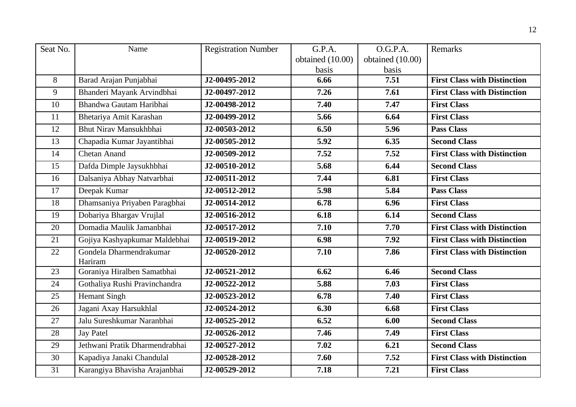| Seat No. | Name                               | <b>Registration Number</b> | G.P.A.           | O.G.P.A.         | <b>Remarks</b>                      |
|----------|------------------------------------|----------------------------|------------------|------------------|-------------------------------------|
|          |                                    |                            | obtained (10.00) | obtained (10.00) |                                     |
|          |                                    |                            | basis            | basis            |                                     |
| 8        | Barad Arajan Punjabhai             | J2-00495-2012              | 6.66             | 7.51             | <b>First Class with Distinction</b> |
| 9        | Bhanderi Mayank Arvindbhai         | J2-00497-2012              | 7.26             | 7.61             | <b>First Class with Distinction</b> |
| 10       | Bhandwa Gautam Haribhai            | J2-00498-2012              | 7.40             | 7.47             | <b>First Class</b>                  |
| 11       | Bhetariya Amit Karashan            | J2-00499-2012              | 5.66             | 6.64             | <b>First Class</b>                  |
| 12       | Bhut Nirav Mansukhbhai             | J2-00503-2012              | 6.50             | 5.96             | <b>Pass Class</b>                   |
| 13       | Chapadia Kumar Jayantibhai         | J2-00505-2012              | 5.92             | 6.35             | <b>Second Class</b>                 |
| 14       | Chetan Anand                       | J2-00509-2012              | 7.52             | 7.52             | <b>First Class with Distinction</b> |
| 15       | Dafda Dimple Jaysukhbhai           | J2-00510-2012              | 5.68             | 6.44             | <b>Second Class</b>                 |
| 16       | Dalsaniya Abhay Natvarbhai         | J2-00511-2012              | 7.44             | 6.81             | <b>First Class</b>                  |
| 17       | Deepak Kumar                       | J2-00512-2012              | 5.98             | 5.84             | <b>Pass Class</b>                   |
| 18       | Dhamsaniya Priyaben Paragbhai      | J2-00514-2012              | 6.78             | 6.96             | <b>First Class</b>                  |
| 19       | Dobariya Bhargav Vrujlal           | J2-00516-2012              | 6.18             | 6.14             | <b>Second Class</b>                 |
| 20       | Domadia Maulik Jamanbhai           | J2-00517-2012              | 7.10             | 7.70             | <b>First Class with Distinction</b> |
| 21       | Gojiya Kashyapkumar Maldebhai      | J2-00519-2012              | 6.98             | 7.92             | <b>First Class with Distinction</b> |
| 22       | Gondela Dharmendrakumar<br>Hariram | J2-00520-2012              | 7.10             | 7.86             | <b>First Class with Distinction</b> |
| 23       | Goraniya Hiralben Samatbhai        | J2-00521-2012              | 6.62             | 6.46             | <b>Second Class</b>                 |
| 24       | Gothaliya Rushi Pravinchandra      | J2-00522-2012              | 5.88             | 7.03             | <b>First Class</b>                  |
| 25       | Hemant Singh                       | J2-00523-2012              | 6.78             | 7.40             | <b>First Class</b>                  |
| 26       | Jagani Axay Harsukhlal             | J2-00524-2012              | 6.30             | 6.68             | <b>First Class</b>                  |
| 27       | Jalu Sureshkumar Naranbhai         | J2-00525-2012              | 6.52             | 6.00             | <b>Second Class</b>                 |
| 28       | <b>Jay Patel</b>                   | J2-00526-2012              | 7.46             | 7.49             | <b>First Class</b>                  |
| 29       | Jethwani Pratik Dharmendrabhai     | J2-00527-2012              | 7.02             | 6.21             | <b>Second Class</b>                 |
| 30       | Kapadiya Janaki Chandulal          | J2-00528-2012              | 7.60             | 7.52             | <b>First Class with Distinction</b> |
| 31       | Karangiya Bhavisha Arajanbhai      | J2-00529-2012              | 7.18             | 7.21             | <b>First Class</b>                  |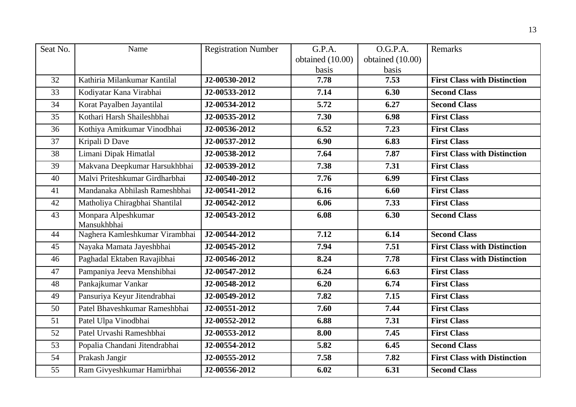| Seat No. | Name                               | <b>Registration Number</b> | G.P.A.           | O.G.P.A.         | Remarks                             |
|----------|------------------------------------|----------------------------|------------------|------------------|-------------------------------------|
|          |                                    |                            | obtained (10.00) | obtained (10.00) |                                     |
|          |                                    |                            | basis            | basis            |                                     |
| 32       | Kathiria Milankumar Kantilal       | J2-00530-2012              | 7.78             | 7.53             | <b>First Class with Distinction</b> |
| 33       | Kodiyatar Kana Virabhai            | J2-00533-2012              | 7.14             | 6.30             | <b>Second Class</b>                 |
| 34       | Korat Payalben Jayantilal          | J2-00534-2012              | 5.72             | 6.27             | <b>Second Class</b>                 |
| 35       | Kothari Harsh Shaileshbhai         | J2-00535-2012              | 7.30             | 6.98             | <b>First Class</b>                  |
| 36       | Kothiya Amitkumar Vinodbhai        | J2-00536-2012              | 6.52             | 7.23             | <b>First Class</b>                  |
| 37       | Kripali D Dave                     | J2-00537-2012              | 6.90             | 6.83             | <b>First Class</b>                  |
| 38       | Limani Dipak Himatlal              | J2-00538-2012              | 7.64             | 7.87             | <b>First Class with Distinction</b> |
| 39       | Makvana Deepkumar Harsukhbhai      | J2-00539-2012              | 7.38             | 7.31             | <b>First Class</b>                  |
| 40       | Malvi Priteshkumar Girdharbhai     | J2-00540-2012              | 7.76             | 6.99             | <b>First Class</b>                  |
| 41       | Mandanaka Abhilash Rameshbhai      | J2-00541-2012              | 6.16             | 6.60             | <b>First Class</b>                  |
| 42       | Matholiya Chiragbhai Shantilal     | J2-00542-2012              | 6.06             | 7.33             | <b>First Class</b>                  |
| 43       | Monpara Alpeshkumar<br>Mansukhbhai | J2-00543-2012              | 6.08             | 6.30             | <b>Second Class</b>                 |
| 44       | Naghera Kamleshkumar Virambhai     | J2-00544-2012              | 7.12             | 6.14             | <b>Second Class</b>                 |
|          |                                    |                            |                  |                  |                                     |
| 45       | Nayaka Mamata Jayeshbhai           | J2-00545-2012              | 7.94             | 7.51             | <b>First Class with Distinction</b> |
| 46       | Paghadal Ektaben Ravajibhai        | J2-00546-2012              | 8.24             | 7.78             | <b>First Class with Distinction</b> |
| 47       | Pampaniya Jeeva Menshibhai         | J2-00547-2012              | 6.24             | 6.63             | <b>First Class</b>                  |
| 48       | Pankajkumar Vankar                 | J2-00548-2012              | 6.20             | 6.74             | <b>First Class</b>                  |
| 49       | Pansuriya Keyur Jitendrabhai       | J2-00549-2012              | 7.82             | 7.15             | <b>First Class</b>                  |
| 50       | Patel Bhaveshkumar Rameshbhai      | J2-00551-2012              | 7.60             | 7.44             | <b>First Class</b>                  |
| 51       | Patel Ulpa Vinodbhai               | J2-00552-2012              | 6.88             | 7.31             | <b>First Class</b>                  |
| 52       | Patel Urvashi Rameshbhai           | J2-00553-2012              | 8.00             | 7.45             | <b>First Class</b>                  |
| 53       | Popalia Chandani Jitendrabhai      | J2-00554-2012              | 5.82             | 6.45             | <b>Second Class</b>                 |
| 54       | Prakash Jangir                     | J2-00555-2012              | 7.58             | 7.82             | <b>First Class with Distinction</b> |
| 55       | Ram Givyeshkumar Hamirbhai         | J2-00556-2012              | 6.02             | 6.31             | <b>Second Class</b>                 |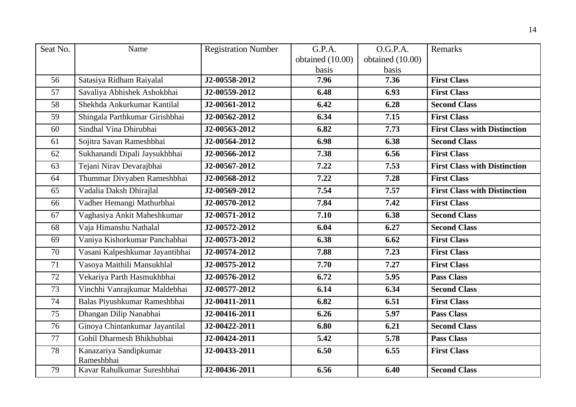| Seat No. | Name                                 | <b>Registration Number</b> | G.P.A.           | O.G.P.A.         | Remarks                             |
|----------|--------------------------------------|----------------------------|------------------|------------------|-------------------------------------|
|          |                                      |                            | obtained (10.00) | obtained (10.00) |                                     |
|          |                                      |                            | basis            | basis            |                                     |
| 56       | Satasiya Ridham Raiyalal             | J2-00558-2012              | 7.96             | 7.36             | <b>First Class</b>                  |
| 57       | Savaliya Abhishek Ashokbhai          | J2-00559-2012              | 6.48             | 6.93             | <b>First Class</b>                  |
| 58       | Shekhda Ankurkumar Kantilal          | J2-00561-2012              | 6.42             | 6.28             | <b>Second Class</b>                 |
| 59       | Shingala Parthkumar Girishbhai       | J2-00562-2012              | 6.34             | 7.15             | <b>First Class</b>                  |
| 60       | Sindhal Vina Dhirubhai               | J2-00563-2012              | 6.82             | 7.73             | <b>First Class with Distinction</b> |
| 61       | Sojitra Savan Rameshbhai             | J2-00564-2012              | 6.98             | 6.38             | <b>Second Class</b>                 |
| 62       | Sukhanandi Dipali Jaysukhbhai        | J2-00566-2012              | 7.38             | 6.56             | <b>First Class</b>                  |
| 63       | Tejani Nirav Devarajbhai             | J2-00567-2012              | 7.22             | 7.53             | <b>First Class with Distinction</b> |
| 64       | Thummar Divyaben Rameshbhai          | J2-00568-2012              | 7.22             | 7.28             | <b>First Class</b>                  |
| 65       | Vadalia Daksh Dhirajlal              | J2-00569-2012              | 7.54             | 7.57             | <b>First Class with Distinction</b> |
| 66       | Vadher Hemangi Mathurbhai            | J2-00570-2012              | 7.84             | 7.42             | <b>First Class</b>                  |
| 67       | Vaghasiya Ankit Maheshkumar          | J2-00571-2012              | 7.10             | 6.38             | <b>Second Class</b>                 |
| 68       | Vaja Himanshu Nathalal               | J2-00572-2012              | 6.04             | 6.27             | <b>Second Class</b>                 |
| 69       | Vaniya Kishorkumar Panchabhai        | J2-00573-2012              | 6.38             | 6.62             | <b>First Class</b>                  |
| 70       | Vasani Kalpeshkumar Jayantibhai      | J2-00574-2012              | 7.88             | 7.23             | <b>First Class</b>                  |
| 71       | Vasoya Maithili Mansukhlal           | J2-00575-2012              | 7.70             | 7.27             | <b>First Class</b>                  |
| 72       | Vekariya Parth Hasmukhbhai           | J2-00576-2012              | 6.72             | 5.95             | <b>Pass Class</b>                   |
| 73       | Vinchhi Vanrajkumar Maldebhai        | J2-00577-2012              | 6.14             | 6.34             | <b>Second Class</b>                 |
| 74       | Balas Piyushkumar Rameshbhai         | J2-00411-2011              | 6.82             | 6.51             | <b>First Class</b>                  |
| 75       | Dhangan Dilip Nanabhai               | J2-00416-2011              | 6.26             | 5.97             | <b>Pass Class</b>                   |
| 76       | Ginoya Chintankumar Jayantilal       | J2-00422-2011              | 6.80             | 6.21             | <b>Second Class</b>                 |
| 77       | Gohil Dharmesh Bhikhubhai            | J2-00424-2011              | 5.42             | 5.78             | <b>Pass Class</b>                   |
| 78       | Kanazariya Sandipkumar<br>Rameshbhai | J2-00433-2011              | 6.50             | 6.55             | <b>First Class</b>                  |
| 79       | Kavar Rahulkumar Sureshbhai          | J2-00436-2011              | 6.56             | 6.40             | <b>Second Class</b>                 |